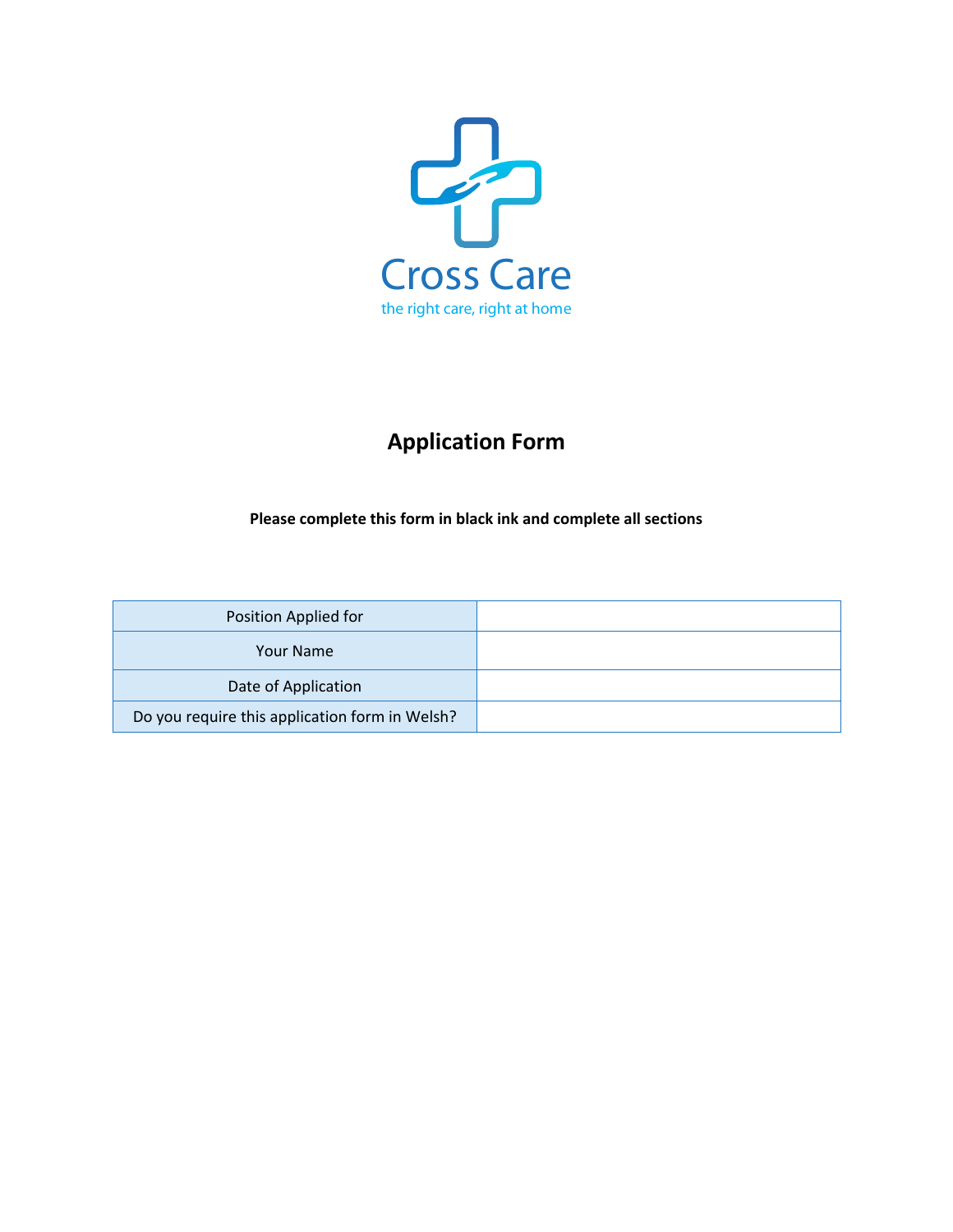

# **Application Form**

**Please complete this form in black ink and complete all sections**

| Position Applied for                           |  |
|------------------------------------------------|--|
| <b>Your Name</b>                               |  |
| Date of Application                            |  |
| Do you require this application form in Welsh? |  |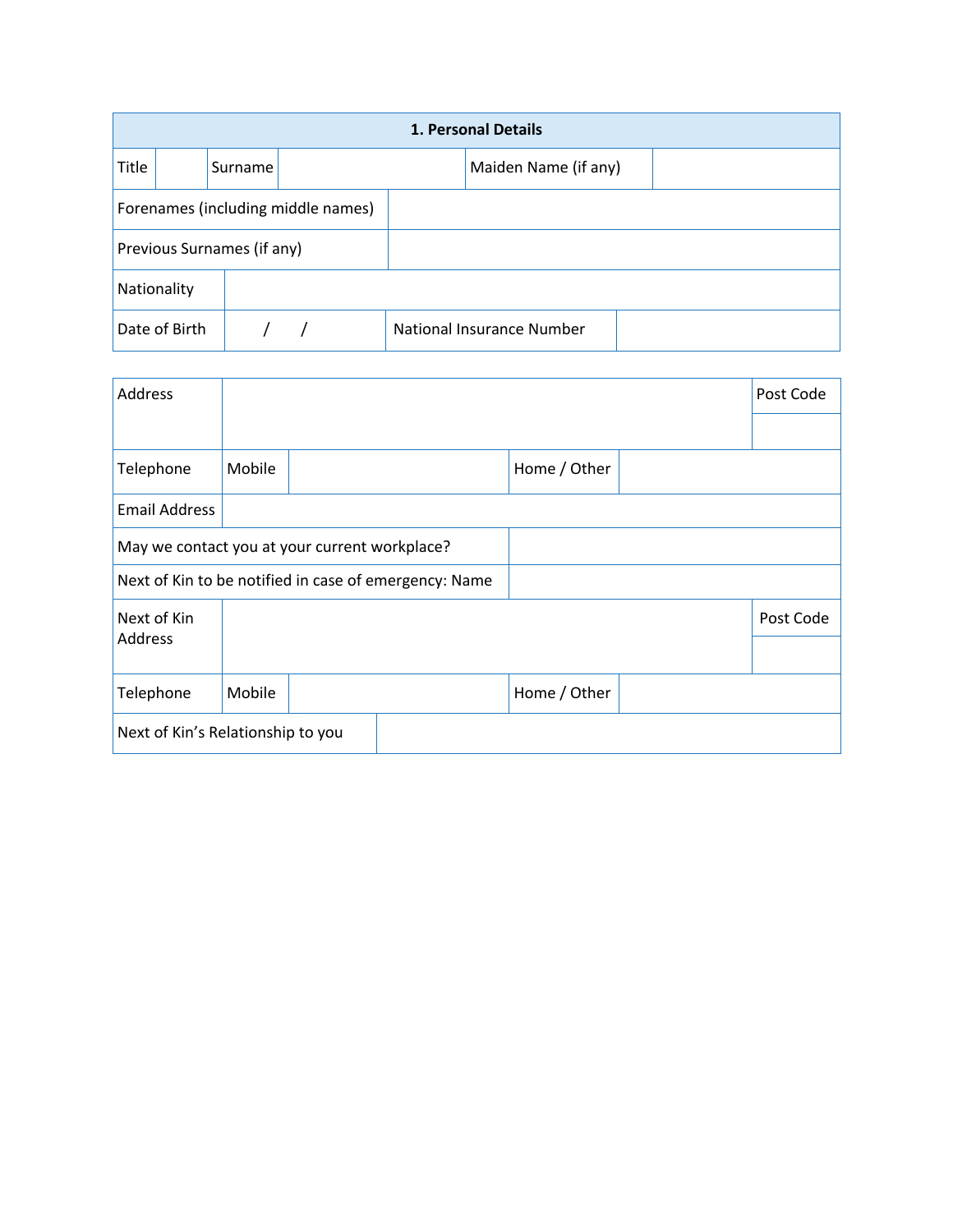|                                    | 1. Personal Details |         |  |  |                           |  |  |  |  |
|------------------------------------|---------------------|---------|--|--|---------------------------|--|--|--|--|
| Title                              |                     | Surname |  |  | Maiden Name (if any)      |  |  |  |  |
| Forenames (including middle names) |                     |         |  |  |                           |  |  |  |  |
| Previous Surnames (if any)         |                     |         |  |  |                           |  |  |  |  |
| Nationality                        |                     |         |  |  |                           |  |  |  |  |
|                                    | Date of Birth       |         |  |  | National Insurance Number |  |  |  |  |

| Address                                               |        |  |  |              |  | Post Code |  |
|-------------------------------------------------------|--------|--|--|--------------|--|-----------|--|
|                                                       |        |  |  |              |  |           |  |
| Telephone                                             | Mobile |  |  | Home / Other |  |           |  |
| <b>Email Address</b>                                  |        |  |  |              |  |           |  |
| May we contact you at your current workplace?         |        |  |  |              |  |           |  |
| Next of Kin to be notified in case of emergency: Name |        |  |  |              |  |           |  |
| Next of Kin                                           |        |  |  |              |  | Post Code |  |
| Address                                               |        |  |  |              |  |           |  |
| Telephone                                             | Mobile |  |  | Home / Other |  |           |  |
| Next of Kin's Relationship to you                     |        |  |  |              |  |           |  |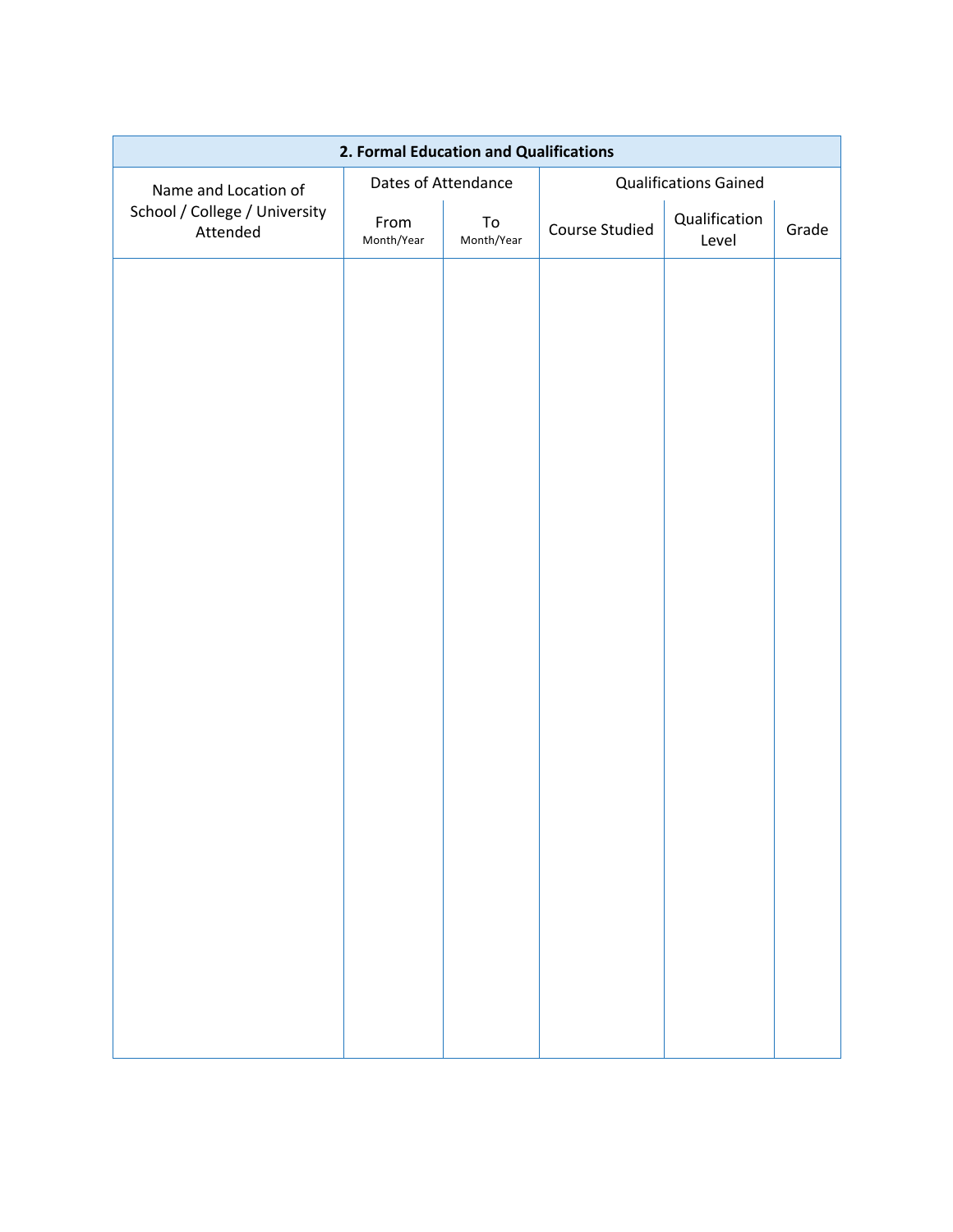| 2. Formal Education and Qualifications    |                     |                          |                |                              |       |  |  |
|-------------------------------------------|---------------------|--------------------------|----------------|------------------------------|-------|--|--|
| Name and Location of                      | Dates of Attendance |                          |                | <b>Qualifications Gained</b> |       |  |  |
| School / College / University<br>Attended | From<br>Month/Year  | ${\sf To}$<br>Month/Year | Course Studied | Qualification<br>Level       | Grade |  |  |
|                                           |                     |                          |                |                              |       |  |  |
|                                           |                     |                          |                |                              |       |  |  |
|                                           |                     |                          |                |                              |       |  |  |
|                                           |                     |                          |                |                              |       |  |  |
|                                           |                     |                          |                |                              |       |  |  |
|                                           |                     |                          |                |                              |       |  |  |
|                                           |                     |                          |                |                              |       |  |  |
|                                           |                     |                          |                |                              |       |  |  |
|                                           |                     |                          |                |                              |       |  |  |
|                                           |                     |                          |                |                              |       |  |  |
|                                           |                     |                          |                |                              |       |  |  |
|                                           |                     |                          |                |                              |       |  |  |
|                                           |                     |                          |                |                              |       |  |  |
|                                           |                     |                          |                |                              |       |  |  |
|                                           |                     |                          |                |                              |       |  |  |
|                                           |                     |                          |                |                              |       |  |  |
|                                           |                     |                          |                |                              |       |  |  |
|                                           |                     |                          |                |                              |       |  |  |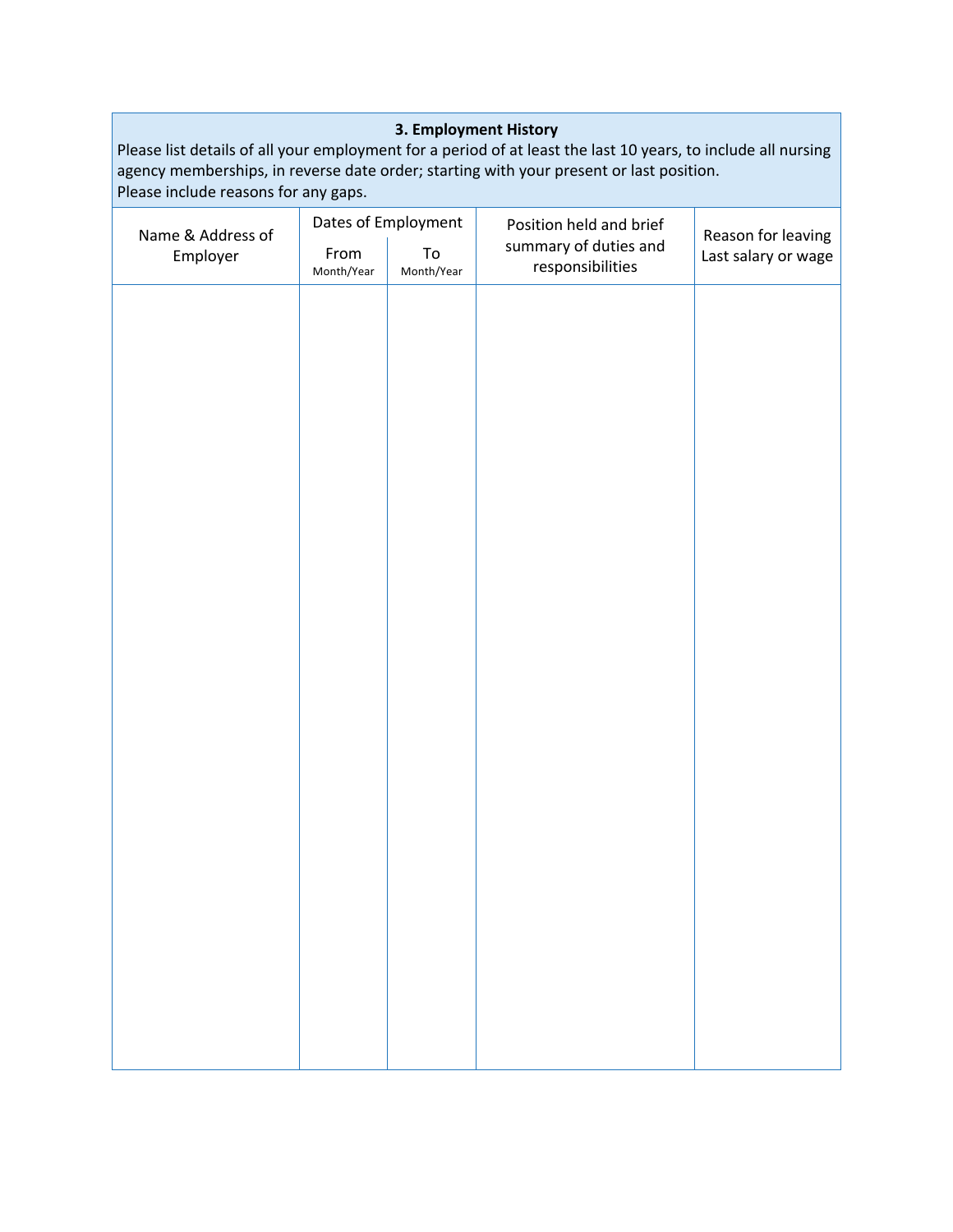#### **3. Employment History**

Please list details of all your employment for a period of at least the last 10 years, to include all nursing agency memberships, in reverse date order; starting with your present or last position. Please include reasons for any gaps.

| Name & Address of |                    | Dates of Employment | Position held and brief                   | Reason for leaving  |  |  |
|-------------------|--------------------|---------------------|-------------------------------------------|---------------------|--|--|
| Employer          | From<br>Month/Year | To<br>Month/Year    | summary of duties and<br>responsibilities | Last salary or wage |  |  |
|                   |                    |                     |                                           |                     |  |  |
|                   |                    |                     |                                           |                     |  |  |
|                   |                    |                     |                                           |                     |  |  |
|                   |                    |                     |                                           |                     |  |  |
|                   |                    |                     |                                           |                     |  |  |
|                   |                    |                     |                                           |                     |  |  |
|                   |                    |                     |                                           |                     |  |  |
|                   |                    |                     |                                           |                     |  |  |
|                   |                    |                     |                                           |                     |  |  |
|                   |                    |                     |                                           |                     |  |  |
|                   |                    |                     |                                           |                     |  |  |
|                   |                    |                     |                                           |                     |  |  |
|                   |                    |                     |                                           |                     |  |  |
|                   |                    |                     |                                           |                     |  |  |
|                   |                    |                     |                                           |                     |  |  |
|                   |                    |                     |                                           |                     |  |  |
|                   |                    |                     |                                           |                     |  |  |
|                   |                    |                     |                                           |                     |  |  |
|                   |                    |                     |                                           |                     |  |  |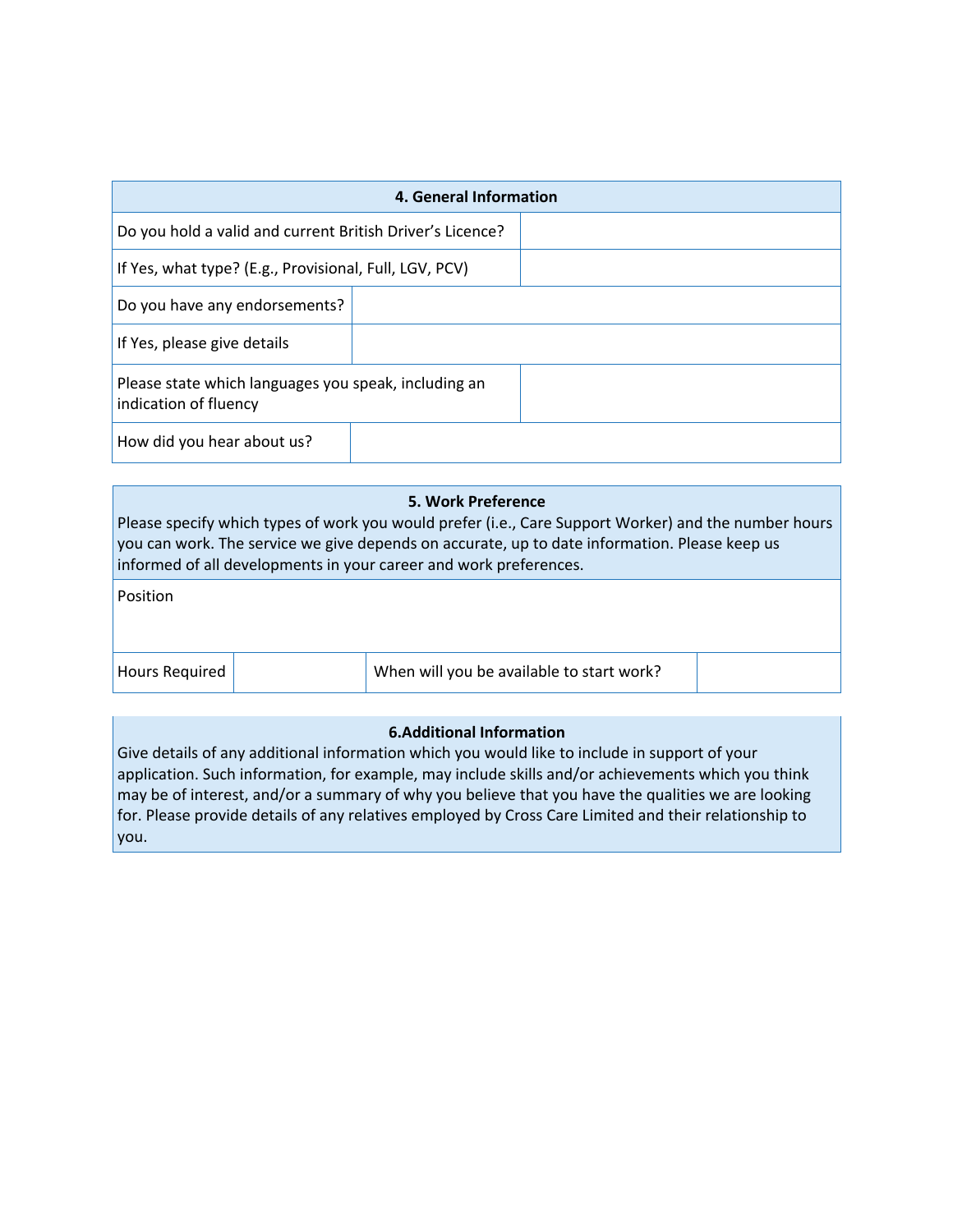| 4. General Information                                                        |  |  |  |  |  |  |
|-------------------------------------------------------------------------------|--|--|--|--|--|--|
| Do you hold a valid and current British Driver's Licence?                     |  |  |  |  |  |  |
| If Yes, what type? (E.g., Provisional, Full, LGV, PCV)                        |  |  |  |  |  |  |
| Do you have any endorsements?                                                 |  |  |  |  |  |  |
| If Yes, please give details                                                   |  |  |  |  |  |  |
| Please state which languages you speak, including an<br>indication of fluency |  |  |  |  |  |  |
| How did you hear about us?                                                    |  |  |  |  |  |  |

#### **5. Work Preference** Please specify which types of work you would prefer (i.e., Care Support Worker) and the number hours you can work. The service we give depends on accurate, up to date information. Please keep us informed of all developments in your career and work preferences.

Position

Hours Required When will you be available to start work?

#### **6.Additional Information**

Give details of any additional information which you would like to include in support of your application. Such information, for example, may include skills and/or achievements which you think may be of interest, and/or a summary of why you believe that you have the qualities we are looking for. Please provide details of any relatives employed by Cross Care Limited and their relationship to you.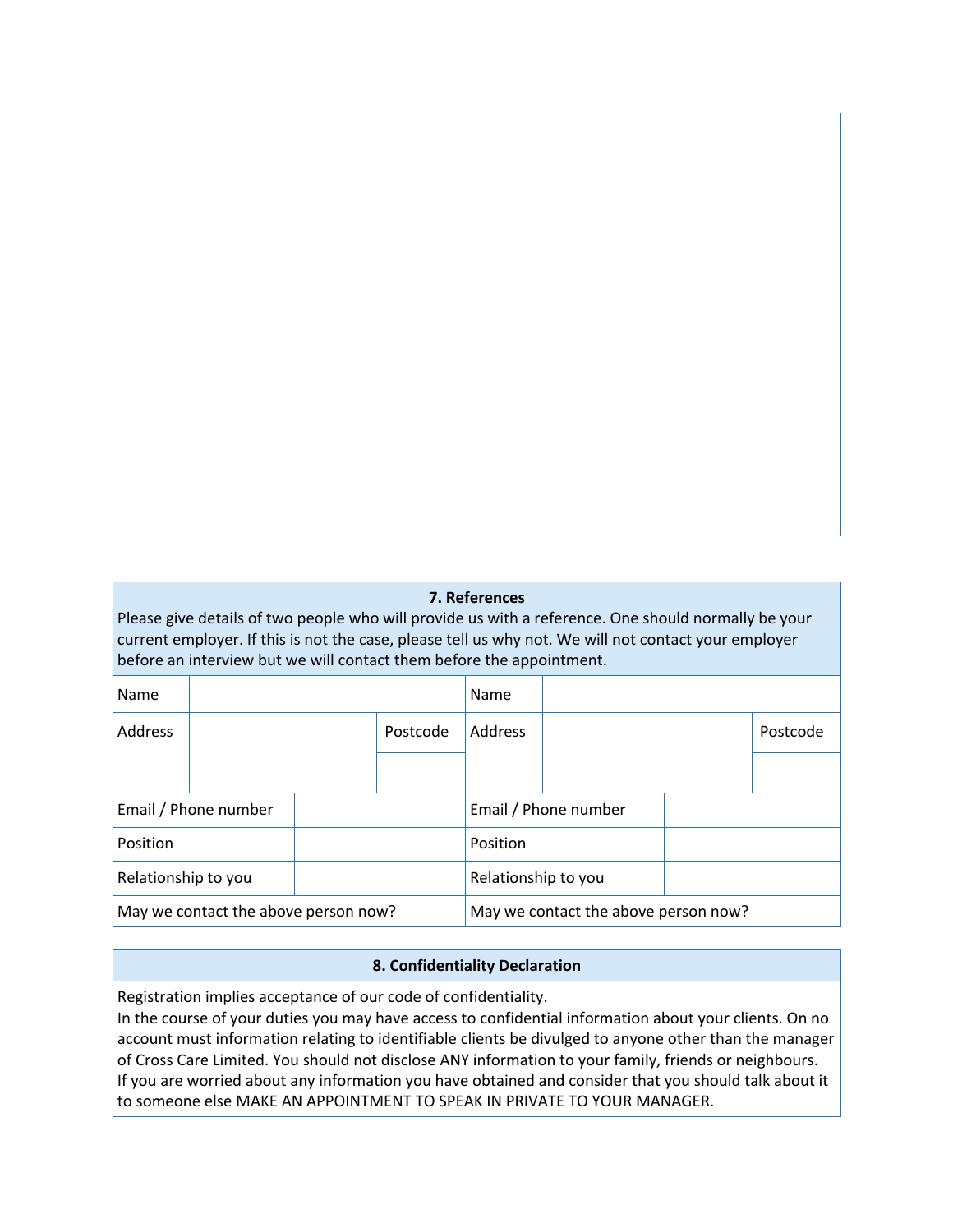## **7. References**

Please give details of two people who will provide us with a reference. One should normally be your current employer. If this is not the case, please tell us why not. We will not contact your employer before an interview but we will contact them before the appointment.

| Name                                 |  |  |                                      | Name           |                      |  |          |
|--------------------------------------|--|--|--------------------------------------|----------------|----------------------|--|----------|
| Address                              |  |  | Postcode                             | <b>Address</b> |                      |  | Postcode |
|                                      |  |  |                                      |                |                      |  |          |
| Email / Phone number                 |  |  |                                      |                | Email / Phone number |  |          |
| Position                             |  |  |                                      | Position       |                      |  |          |
| Relationship to you                  |  |  | Relationship to you                  |                |                      |  |          |
| May we contact the above person now? |  |  | May we contact the above person now? |                |                      |  |          |

#### **8. Confidentiality Declaration**

Registration implies acceptance of our code of confidentiality.

In the course of your duties you may have access to confidential information about your clients. On no account must information relating to identifiable clients be divulged to anyone other than the manager of Cross Care Limited. You should not disclose ANY information to your family, friends or neighbours. If you are worried about any information you have obtained and consider that you should talk about it to someone else MAKE AN APPOINTMENT TO SPEAK IN PRIVATE TO YOUR MANAGER.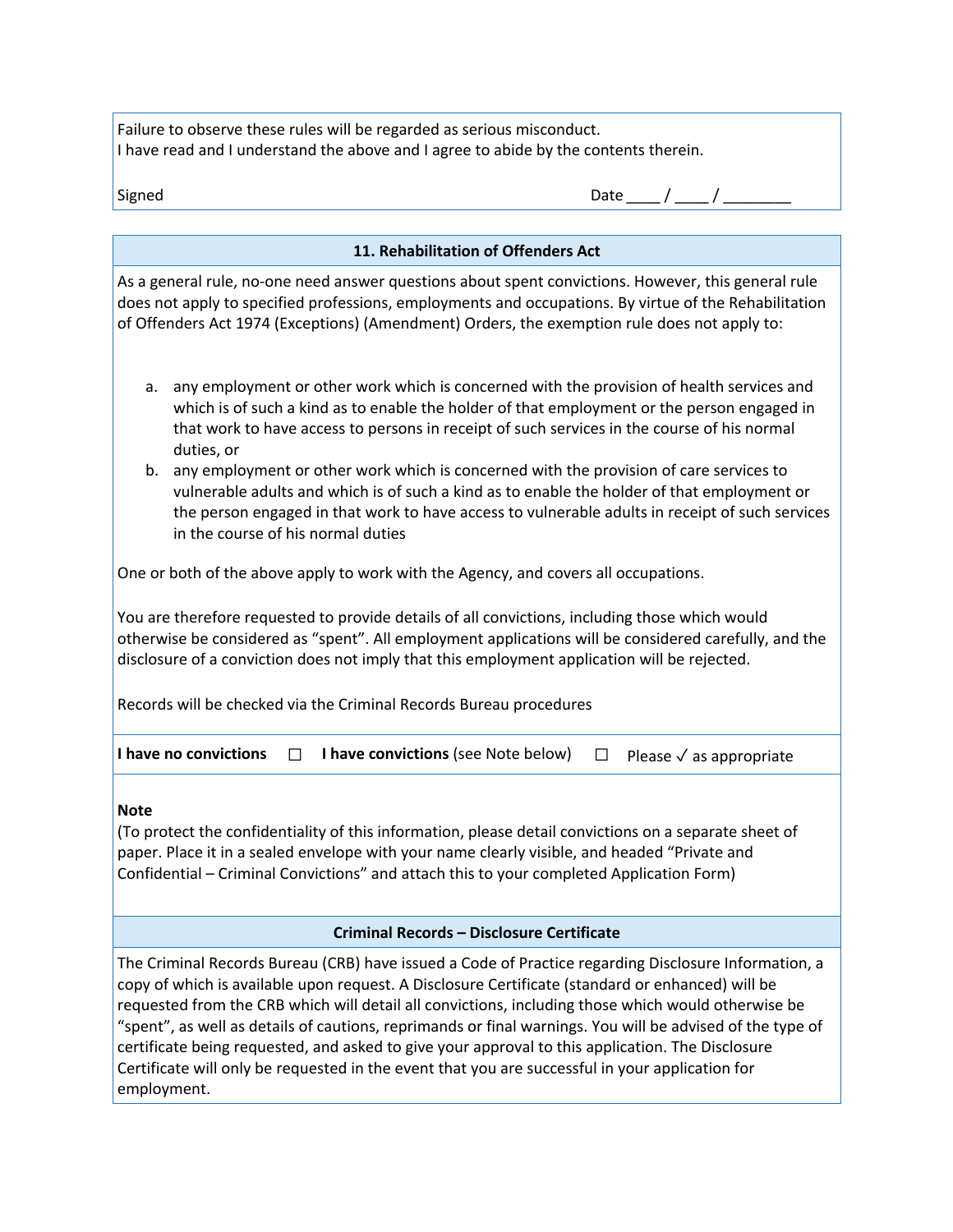Failure to observe these rules will be regarded as serious misconduct. I have read and I understand the above and I agree to abide by the contents therein.

| Signed | Date |  |
|--------|------|--|
|--------|------|--|

| 11. Rehabilitation of Offenders Act                                                                                                                                                                                                                                                                                                                                                                                                                                                                                                                                                                                                               |  |  |  |  |  |  |  |  |  |  |
|---------------------------------------------------------------------------------------------------------------------------------------------------------------------------------------------------------------------------------------------------------------------------------------------------------------------------------------------------------------------------------------------------------------------------------------------------------------------------------------------------------------------------------------------------------------------------------------------------------------------------------------------------|--|--|--|--|--|--|--|--|--|--|
| As a general rule, no-one need answer questions about spent convictions. However, this general rule<br>does not apply to specified professions, employments and occupations. By virtue of the Rehabilitation<br>of Offenders Act 1974 (Exceptions) (Amendment) Orders, the exemption rule does not apply to:                                                                                                                                                                                                                                                                                                                                      |  |  |  |  |  |  |  |  |  |  |
| any employment or other work which is concerned with the provision of health services and<br>a.<br>which is of such a kind as to enable the holder of that employment or the person engaged in<br>that work to have access to persons in receipt of such services in the course of his normal<br>duties, or                                                                                                                                                                                                                                                                                                                                       |  |  |  |  |  |  |  |  |  |  |
| any employment or other work which is concerned with the provision of care services to<br>b.<br>vulnerable adults and which is of such a kind as to enable the holder of that employment or<br>the person engaged in that work to have access to vulnerable adults in receipt of such services<br>in the course of his normal duties                                                                                                                                                                                                                                                                                                              |  |  |  |  |  |  |  |  |  |  |
| One or both of the above apply to work with the Agency, and covers all occupations.                                                                                                                                                                                                                                                                                                                                                                                                                                                                                                                                                               |  |  |  |  |  |  |  |  |  |  |
| You are therefore requested to provide details of all convictions, including those which would<br>otherwise be considered as "spent". All employment applications will be considered carefully, and the<br>disclosure of a conviction does not imply that this employment application will be rejected.                                                                                                                                                                                                                                                                                                                                           |  |  |  |  |  |  |  |  |  |  |
| Records will be checked via the Criminal Records Bureau procedures                                                                                                                                                                                                                                                                                                                                                                                                                                                                                                                                                                                |  |  |  |  |  |  |  |  |  |  |
| I have no convictions<br>I have convictions (see Note below)<br>П<br>$\Box$<br>Please $\checkmark$ as appropriate                                                                                                                                                                                                                                                                                                                                                                                                                                                                                                                                 |  |  |  |  |  |  |  |  |  |  |
| <b>Note</b><br>(To protect the confidentiality of this information, please detail convictions on a separate sheet of<br>paper. Place it in a sealed envelope with your name clearly visible, and headed "Private and<br>Confidential - Criminal Convictions" and attach this to your completed Application Form)                                                                                                                                                                                                                                                                                                                                  |  |  |  |  |  |  |  |  |  |  |
| Criminal Records - Disclosure Certificate                                                                                                                                                                                                                                                                                                                                                                                                                                                                                                                                                                                                         |  |  |  |  |  |  |  |  |  |  |
| The Criminal Records Bureau (CRB) have issued a Code of Practice regarding Disclosure Information, a<br>copy of which is available upon request. A Disclosure Certificate (standard or enhanced) will be<br>requested from the CRB which will detail all convictions, including those which would otherwise be<br>"spent", as well as details of cautions, reprimands or final warnings. You will be advised of the type of<br>certificate being requested, and asked to give your approval to this application. The Disclosure<br>Certificate will only be requested in the event that you are successful in your application for<br>employment. |  |  |  |  |  |  |  |  |  |  |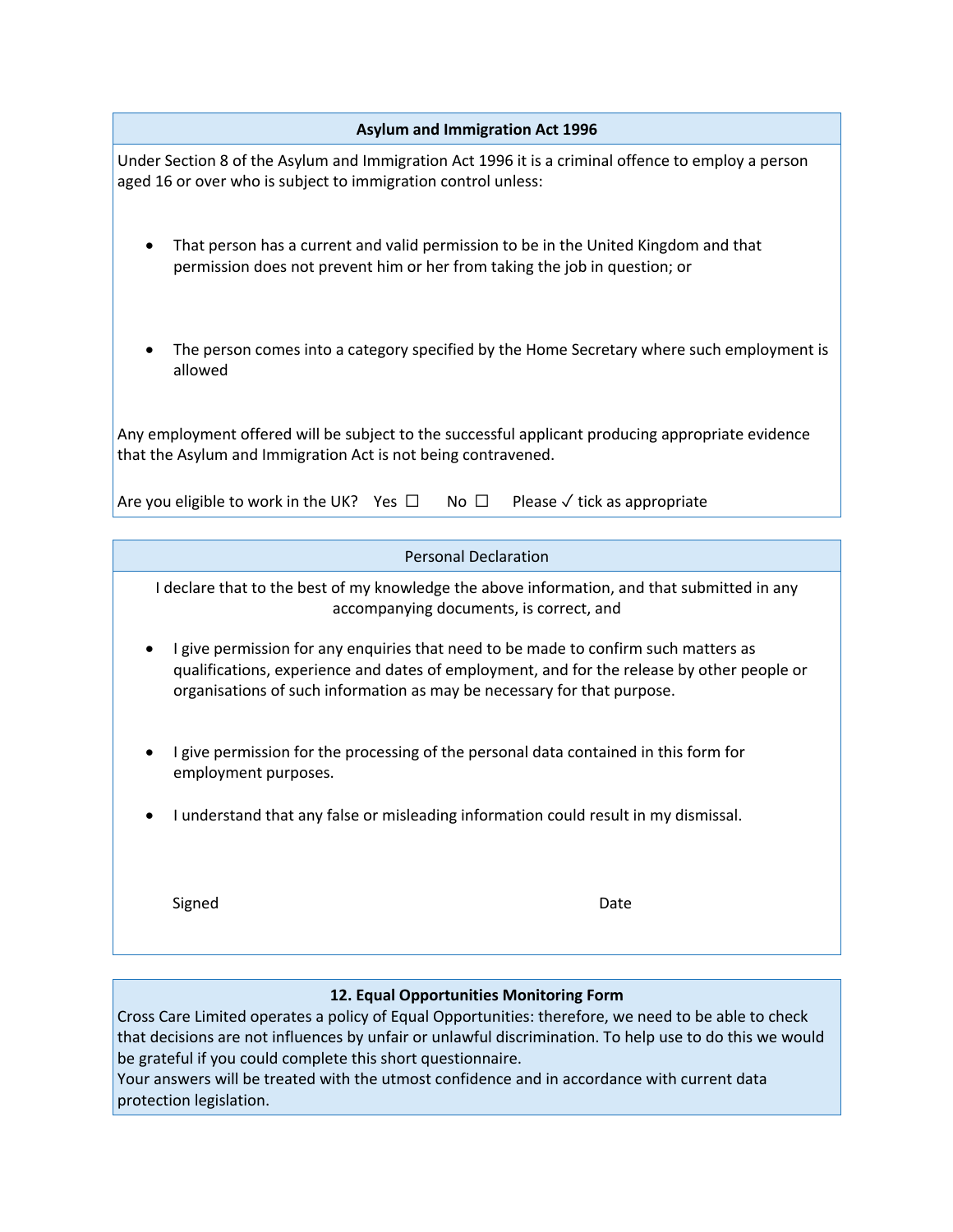|  | Asylum and Immigration Act 1996 |  |  |  |  |  |
|--|---------------------------------|--|--|--|--|--|
|  |                                 |  |  |  |  |  |

Under Section 8 of the Asylum and Immigration Act 1996 it is a criminal offence to employ a person aged 16 or over who is subject to immigration control unless:

- That person has a current and valid permission to be in the United Kingdom and that permission does not prevent him or her from taking the job in question; or
- The person comes into a category specified by the Home Secretary where such employment is allowed

Any employment offered will be subject to the successful applicant producing appropriate evidence that the Asylum and Immigration Act is not being contravened.

| Are you eligible to work in the UK? Yes $\Box$ No $\Box$ Please $\checkmark$ tick as appropriate |  |  |
|--------------------------------------------------------------------------------------------------|--|--|
|                                                                                                  |  |  |

I declare that to the best of my knowledge the above information, and that submitted in any accompanying documents, is correct, and

- I give permission for any enquiries that need to be made to confirm such matters as qualifications, experience and dates of employment, and for the release by other people or organisations of such information as may be necessary for that purpose.
- I give permission for the processing of the personal data contained in this form for employment purposes.
- I understand that any false or misleading information could result in my dismissal.

Signed **Date** 

### **12. Equal Opportunities Monitoring Form**

Cross Care Limited operates a policy of Equal Opportunities: therefore, we need to be able to check that decisions are not influences by unfair or unlawful discrimination. To help use to do this we would be grateful if you could complete this short questionnaire.

Your answers will be treated with the utmost confidence and in accordance with current data protection legislation.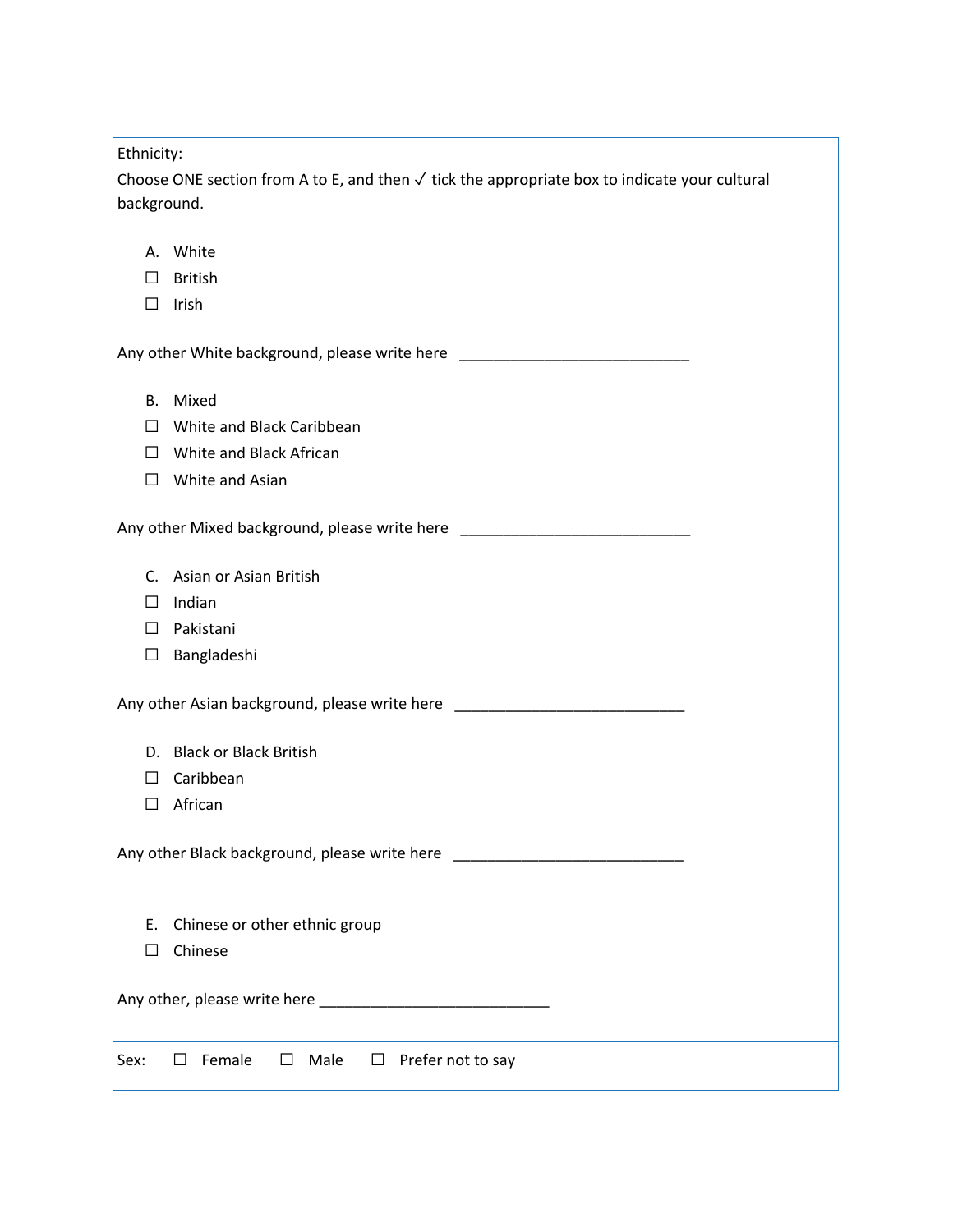| Ethnicity:                                                                                                              |  |  |  |
|-------------------------------------------------------------------------------------------------------------------------|--|--|--|
| Choose ONE section from A to E, and then $\checkmark$ tick the appropriate box to indicate your cultural<br>background. |  |  |  |
|                                                                                                                         |  |  |  |
| A. White                                                                                                                |  |  |  |
| <b>British</b><br>$\Box$                                                                                                |  |  |  |
| Irish<br>$\Box$                                                                                                         |  |  |  |
|                                                                                                                         |  |  |  |
| B. Mixed                                                                                                                |  |  |  |
| $\Box$ White and Black Caribbean                                                                                        |  |  |  |
| $\Box$ White and Black African                                                                                          |  |  |  |
| $\Box$ White and Asian                                                                                                  |  |  |  |
|                                                                                                                         |  |  |  |
| C. Asian or Asian British                                                                                               |  |  |  |
| Indian<br>⊔                                                                                                             |  |  |  |
| Pakistani<br>$\Box$                                                                                                     |  |  |  |
| Bangladeshi<br>$\Box$                                                                                                   |  |  |  |
|                                                                                                                         |  |  |  |
| D. Black or Black British                                                                                               |  |  |  |
| Caribbean<br>$\perp$                                                                                                    |  |  |  |
| African<br>$\Box$                                                                                                       |  |  |  |
|                                                                                                                         |  |  |  |
| Chinese or other ethnic group<br>Ε.                                                                                     |  |  |  |
| Chinese<br>П                                                                                                            |  |  |  |
|                                                                                                                         |  |  |  |
| Prefer not to say<br>Female<br>Male<br>$\Box$<br>Sex:<br>□<br>$\Box$                                                    |  |  |  |